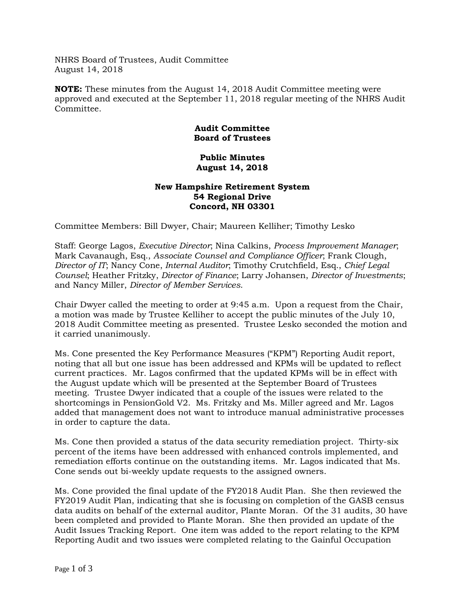NHRS Board of Trustees, Audit Committee August 14, 2018

**NOTE:** These minutes from the August 14, 2018 Audit Committee meeting were approved and executed at the September 11, 2018 regular meeting of the NHRS Audit Committee.

## **Audit Committee Board of Trustees**

## **Public Minutes August 14, 2018**

## **New Hampshire Retirement System 54 Regional Drive Concord, NH 03301**

Committee Members: Bill Dwyer, Chair; Maureen Kelliher; Timothy Lesko

Staff: George Lagos, *Executive Director*; Nina Calkins, *Process Improvement Manager*; Mark Cavanaugh, Esq., *Associate Counsel and Compliance Officer*; Frank Clough, *Director of IT*; Nancy Cone, *Internal Auditor*; Timothy Crutchfield, Esq., *Chief Legal Counsel*; Heather Fritzky, *Director of Finance*; Larry Johansen, *Director of Investments*; and Nancy Miller, *Director of Member Services*.

Chair Dwyer called the meeting to order at 9:45 a.m. Upon a request from the Chair, a motion was made by Trustee Kelliher to accept the public minutes of the July 10, 2018 Audit Committee meeting as presented. Trustee Lesko seconded the motion and it carried unanimously.

Ms. Cone presented the Key Performance Measures ("KPM") Reporting Audit report, noting that all but one issue has been addressed and KPMs will be updated to reflect current practices. Mr. Lagos confirmed that the updated KPMs will be in effect with the August update which will be presented at the September Board of Trustees meeting. Trustee Dwyer indicated that a couple of the issues were related to the shortcomings in PensionGold V2. Ms. Fritzky and Ms. Miller agreed and Mr. Lagos added that management does not want to introduce manual administrative processes in order to capture the data.

Ms. Cone then provided a status of the data security remediation project. Thirty-six percent of the items have been addressed with enhanced controls implemented, and remediation efforts continue on the outstanding items. Mr. Lagos indicated that Ms. Cone sends out bi-weekly update requests to the assigned owners.

Ms. Cone provided the final update of the FY2018 Audit Plan. She then reviewed the FY2019 Audit Plan, indicating that she is focusing on completion of the GASB census data audits on behalf of the external auditor, Plante Moran. Of the 31 audits, 30 have been completed and provided to Plante Moran. She then provided an update of the Audit Issues Tracking Report. One item was added to the report relating to the KPM Reporting Audit and two issues were completed relating to the Gainful Occupation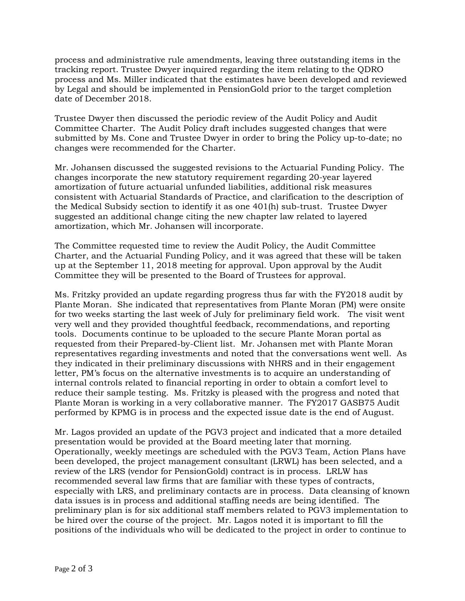process and administrative rule amendments, leaving three outstanding items in the tracking report. Trustee Dwyer inquired regarding the item relating to the QDRO process and Ms. Miller indicated that the estimates have been developed and reviewed by Legal and should be implemented in PensionGold prior to the target completion date of December 2018.

Trustee Dwyer then discussed the periodic review of the Audit Policy and Audit Committee Charter. The Audit Policy draft includes suggested changes that were submitted by Ms. Cone and Trustee Dwyer in order to bring the Policy up-to-date; no changes were recommended for the Charter.

Mr. Johansen discussed the suggested revisions to the Actuarial Funding Policy. The changes incorporate the new statutory requirement regarding 20-year layered amortization of future actuarial unfunded liabilities, additional risk measures consistent with Actuarial Standards of Practice, and clarification to the description of the Medical Subsidy section to identify it as one 401(h) sub-trust. Trustee Dwyer suggested an additional change citing the new chapter law related to layered amortization, which Mr. Johansen will incorporate.

The Committee requested time to review the Audit Policy, the Audit Committee Charter, and the Actuarial Funding Policy, and it was agreed that these will be taken up at the September 11, 2018 meeting for approval. Upon approval by the Audit Committee they will be presented to the Board of Trustees for approval.

Ms. Fritzky provided an update regarding progress thus far with the FY2018 audit by Plante Moran. She indicated that representatives from Plante Moran (PM) were onsite for two weeks starting the last week of July for preliminary field work. The visit went very well and they provided thoughtful feedback, recommendations, and reporting tools. Documents continue to be uploaded to the secure Plante Moran portal as requested from their Prepared-by-Client list. Mr. Johansen met with Plante Moran representatives regarding investments and noted that the conversations went well. As they indicated in their preliminary discussions with NHRS and in their engagement letter, PM's focus on the alternative investments is to acquire an understanding of internal controls related to financial reporting in order to obtain a comfort level to reduce their sample testing. Ms. Fritzky is pleased with the progress and noted that Plante Moran is working in a very collaborative manner. The FY2017 GASB75 Audit performed by KPMG is in process and the expected issue date is the end of August.

Mr. Lagos provided an update of the PGV3 project and indicated that a more detailed presentation would be provided at the Board meeting later that morning. Operationally, weekly meetings are scheduled with the PGV3 Team, Action Plans have been developed, the project management consultant (LRWL) has been selected, and a review of the LRS (vendor for PensionGold) contract is in process. LRLW has recommended several law firms that are familiar with these types of contracts, especially with LRS, and preliminary contacts are in process. Data cleansing of known data issues is in process and additional staffing needs are being identified. The preliminary plan is for six additional staff members related to PGV3 implementation to be hired over the course of the project. Mr. Lagos noted it is important to fill the positions of the individuals who will be dedicated to the project in order to continue to